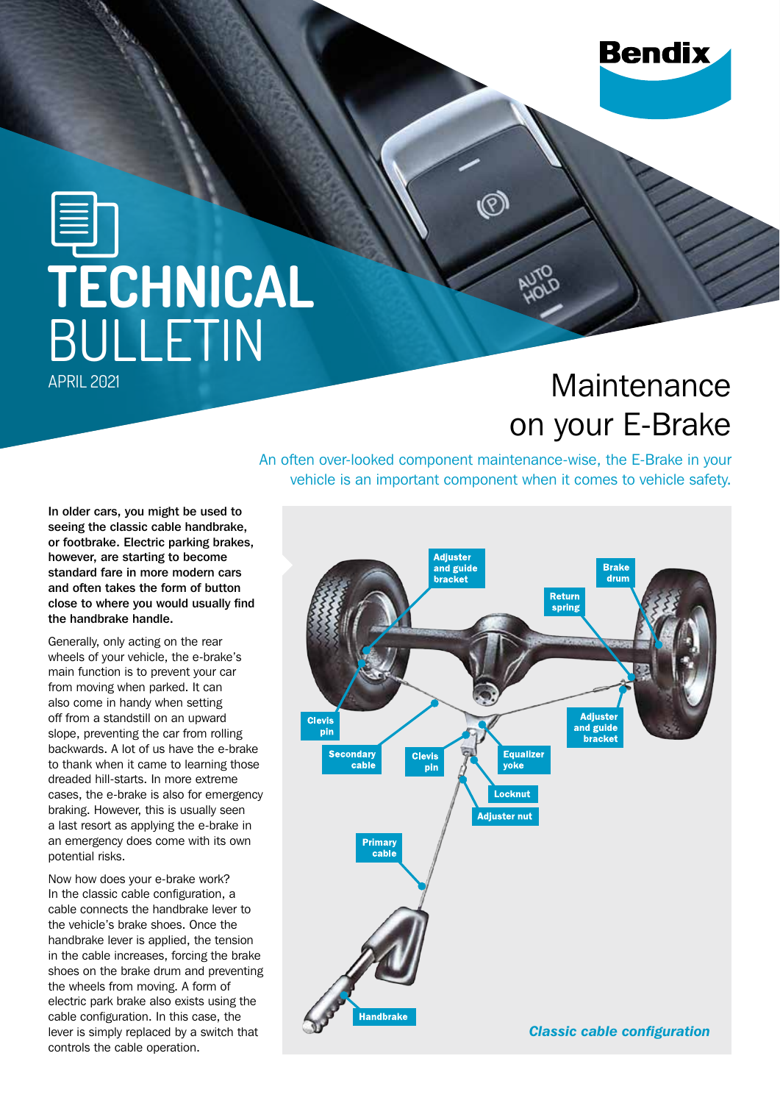## **Bendix**

# **TECHNICAL BULLETIN**

### **Maintenance** on your E-Brake

An often over-looked component maintenance-wise, the E-Brake in your vehicle is an important component when it comes to vehicle safety.

In older cars, you might be used to seeing the classic cable handbrake, or footbrake. Electric parking brakes, however, are starting to become standard fare in more modern cars and often takes the form of button close to where you would usually find the handbrake handle.

Generally, only acting on the rear wheels of your vehicle, the e-brake's main function is to prevent your car from moving when parked. It can also come in handy when setting off from a standstill on an upward slope, preventing the car from rolling backwards. A lot of us have the e-brake to thank when it came to learning those dreaded hill-starts. In more extreme cases, the e-brake is also for emergency braking. However, this is usually seen a last resort as applying the e-brake in an emergency does come with its own potential risks.

Now how does your e-brake work? In the classic cable configuration, a cable connects the handbrake lever to the vehicle's brake shoes. Once the handbrake lever is applied, the tension in the cable increases, forcing the brake shoes on the brake drum and preventing the wheels from moving. A form of electric park brake also exists using the cable configuration. In this case, the lever is simply replaced by a switch that controls the cable operation.